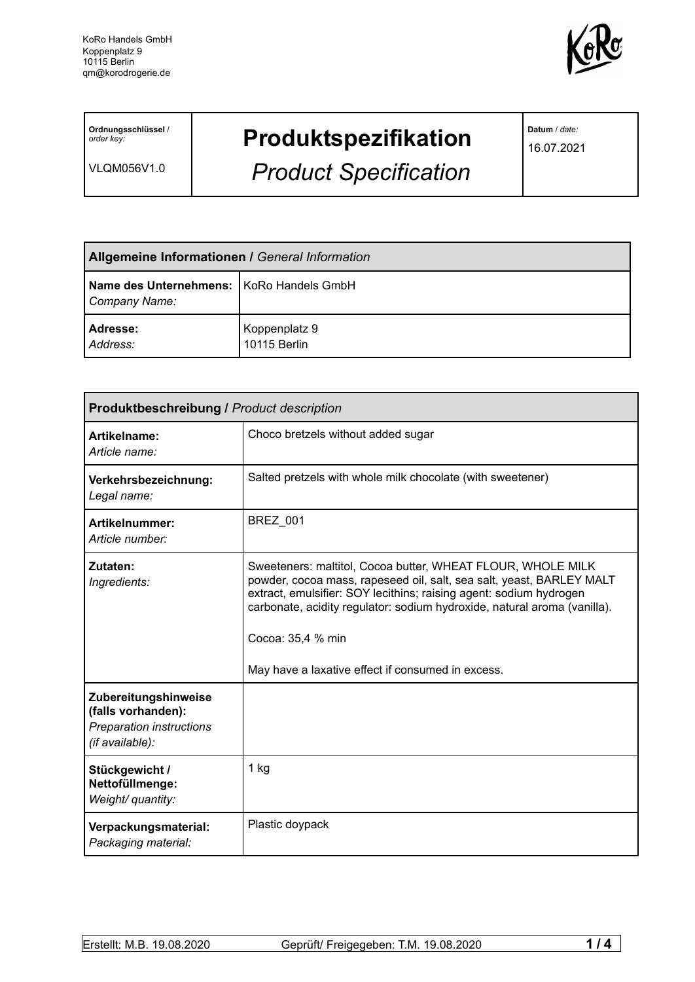

**Ordnungsschlüssel** / *order key:*

VLQM056V1.0

# **Produktspezifikation**

*Product Specification*

**Datum** / *date:*

16.07.2021

| <b>Allgemeine Informationen / General Information</b>       |                               |
|-------------------------------------------------------------|-------------------------------|
| Name des Unternehmens:   KoRo Handels GmbH<br>Company Name: |                               |
| Adresse:<br>Address:                                        | Koppenplatz 9<br>10115 Berlin |

| <b>Produktbeschreibung / Product description</b>                                          |                                                                                                                                                                                                                                                                                                                                                                 |  |
|-------------------------------------------------------------------------------------------|-----------------------------------------------------------------------------------------------------------------------------------------------------------------------------------------------------------------------------------------------------------------------------------------------------------------------------------------------------------------|--|
| Artikelname:<br>Article name:                                                             | Choco bretzels without added sugar                                                                                                                                                                                                                                                                                                                              |  |
| Verkehrsbezeichnung:<br>Legal name:                                                       | Salted pretzels with whole milk chocolate (with sweetener)                                                                                                                                                                                                                                                                                                      |  |
| Artikelnummer:<br>Article number:                                                         | <b>BREZ_001</b>                                                                                                                                                                                                                                                                                                                                                 |  |
| Zutaten:<br>Ingredients:                                                                  | Sweeteners: maltitol, Cocoa butter, WHEAT FLOUR, WHOLE MILK<br>powder, cocoa mass, rapeseed oil, salt, sea salt, yeast, BARLEY MALT<br>extract, emulsifier: SOY lecithins; raising agent: sodium hydrogen<br>carbonate, acidity regulator: sodium hydroxide, natural aroma (vanilla).<br>Cocoa: 35,4 % min<br>May have a laxative effect if consumed in excess. |  |
| Zubereitungshinweise<br>(falls vorhanden):<br>Preparation instructions<br>(if available): |                                                                                                                                                                                                                                                                                                                                                                 |  |
| Stückgewicht /<br>Nettofüllmenge:<br>Weight/ quantity:                                    | 1 kg                                                                                                                                                                                                                                                                                                                                                            |  |
| Verpackungsmaterial:<br>Packaging material:                                               | Plastic doypack                                                                                                                                                                                                                                                                                                                                                 |  |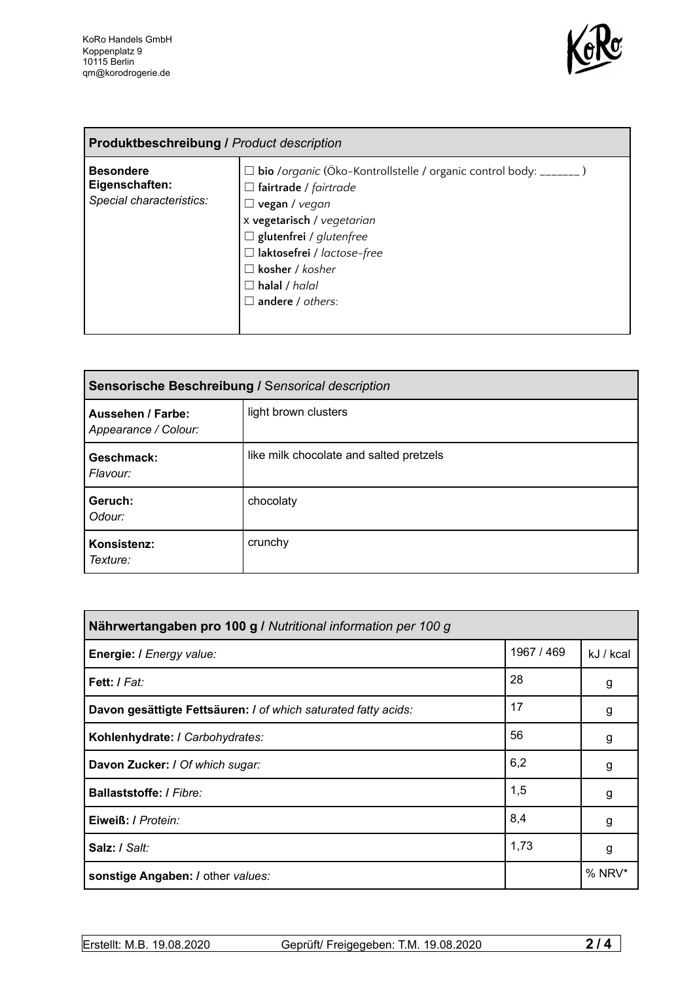

| <b>Produktbeschreibung / Product description</b>               |                                                                                                                                                                                                                                                                                                               |  |
|----------------------------------------------------------------|---------------------------------------------------------------------------------------------------------------------------------------------------------------------------------------------------------------------------------------------------------------------------------------------------------------|--|
| <b>Besondere</b><br>Eigenschaften:<br>Special characteristics: | □ bio /organic (Öko-Kontrollstelle / organic control body: _______)<br>$\Box$ fairtrade / fairtrade<br>$\Box$ vegan / vegan<br>x vegetarisch / vegetarian<br>$\Box$ glutenfrei / glutenfree<br>$\Box$ laktosefrei / lactose-free<br>$\Box$ kosher / kosher<br>$\Box$ halal / halal<br>$\Box$ andere / others: |  |

| Sensorische Beschreibung / Sensorical description |                                         |  |
|---------------------------------------------------|-----------------------------------------|--|
| <b>Aussehen / Farbe:</b><br>Appearance / Colour:  | light brown clusters                    |  |
| Geschmack:<br>Flavour:                            | like milk chocolate and salted pretzels |  |
| Geruch:<br>Odour:                                 | chocolaty                               |  |
| Konsistenz:<br>Texture:                           | crunchy                                 |  |

| Nährwertangaben pro 100 g / Nutritional information per 100 g  |            |           |
|----------------------------------------------------------------|------------|-----------|
| Energie: I Energy value:                                       | 1967 / 469 | kJ / kcal |
| Fett: / Fat:                                                   | 28         | g         |
| Davon gesättigte Fettsäuren: I of which saturated fatty acids: | 17         | g         |
| Kohlenhydrate: I Carbohydrates:                                | 56         | g         |
| Davon Zucker: I Of which sugar:                                | 6,2        | g         |
| <b>Ballaststoffe: / Fibre:</b>                                 | 1,5        | g         |
| Eiweiß: / Protein:                                             | 8,4        | g         |
| Salz: / Salt:                                                  | 1,73       | g         |
| sonstige Angaben: / other values:                              |            | % NRV*    |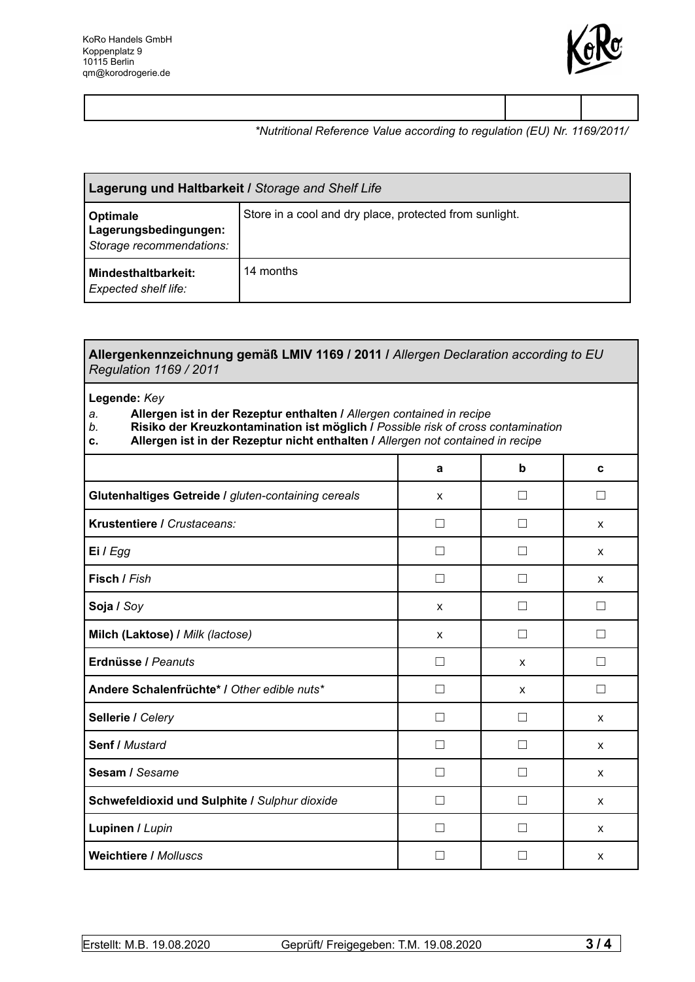

### *\*Nutritional Reference Value according to regulation (EU) Nr. 1169/2011/*

| Lagerung und Haltbarkeit / Storage and Shelf Life                    |                                                         |  |
|----------------------------------------------------------------------|---------------------------------------------------------|--|
| <b>Optimale</b><br>Lagerungsbedingungen:<br>Storage recommendations: | Store in a cool and dry place, protected from sunlight. |  |
| <b>Mindesthaltbarkeit:</b><br>Expected shelf life:                   | 14 months                                               |  |

#### **Allergenkennzeichnung gemäß LMIV 1169 / 2011 /** *Allergen Declaration according to EU Regulation 1169 / 2011*

#### **Legende:** *Key*

## *a.* **Allergen ist in der Rezeptur enthalten /** *Allergen contained in recipe*

- *b.* **Risiko der Kreuzkontamination ist möglich /** *Possible risk of cross contamination*
- **c. Allergen ist in der Rezeptur nicht enthalten /** *Allergen not contained in recipe*

|                                                     | a             | b                 | C             |
|-----------------------------------------------------|---------------|-------------------|---------------|
| Glutenhaltiges Getreide / gluten-containing cereals | X             | $\mathsf{L}$      | $\mathcal{L}$ |
| Krustentiere / Crustaceans:                         | $\Box$        | П                 | X             |
| Ei / Egg                                            | П             |                   | X             |
| Fisch / Fish                                        | □             | Ш                 | X             |
| Soja / Soy                                          | X             | $\mathcal{L}$     |               |
| Milch (Laktose) / Milk (lactose)                    | X             | $\vert \ \ \vert$ |               |
| Erdnüsse / Peanuts                                  | П             | X                 |               |
| Andere Schalenfrüchte* / Other edible nuts*         | П             | X                 |               |
| Sellerie / Celery                                   |               |                   | $\mathsf{x}$  |
| <b>Senf / Mustard</b>                               | $\mathsf{L}$  |                   | $\mathsf{x}$  |
| Sesam / Sesame                                      | $\mathcal{L}$ |                   | X             |
| Schwefeldioxid und Sulphite / Sulphur dioxide       | . I           |                   | X             |
| Lupinen / Lupin                                     | . I           |                   | X             |
| <b>Weichtiere / Molluscs</b>                        | $\mathcal{L}$ |                   | X             |